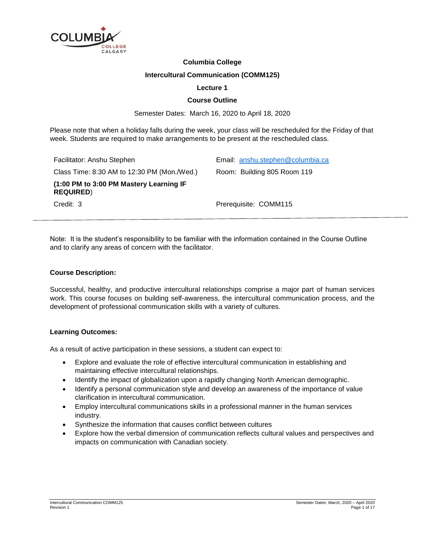

# **Columbia College**

# **Intercultural Communication (COMM125)**

# **Lecture 1**

### **Course Outline**

Semester Dates: March 16, 2020 to April 18, 2020

Please note that when a holiday falls during the week, your class will be rescheduled for the Friday of that week. Students are required to make arrangements to be present at the rescheduled class.

| Facilitator: Anshu Stephen                                  | Email: anshu.stephen@columbia.ca |
|-------------------------------------------------------------|----------------------------------|
| Class Time: $8:30$ AM to 12:30 PM (Mon./Wed.)               | Room: Building 805 Room 119      |
| (1:00 PM to 3:00 PM Mastery Learning IF<br><b>REQUIRED)</b> |                                  |
| Credit: 3                                                   | Prerequisite: COMM115            |

Note: It is the student's responsibility to be familiar with the information contained in the Course Outline and to clarify any areas of concern with the facilitator.

#### **Course Description:**

Successful, healthy, and productive intercultural relationships comprise a major part of human services work. This course focuses on building self-awareness, the intercultural communication process, and the development of professional communication skills with a variety of cultures.

# **Learning Outcomes:**

As a result of active participation in these sessions, a student can expect to:

- Explore and evaluate the role of effective intercultural communication in establishing and maintaining effective intercultural relationships.
- Identify the impact of globalization upon a rapidly changing North American demographic.
- Identify a personal communication style and develop an awareness of the importance of value clarification in intercultural communication.
- Employ intercultural communications skills in a professional manner in the human services industry.
- Synthesize the information that causes conflict between cultures
- Explore how the verbal dimension of communication reflects cultural values and perspectives and impacts on communication with Canadian society.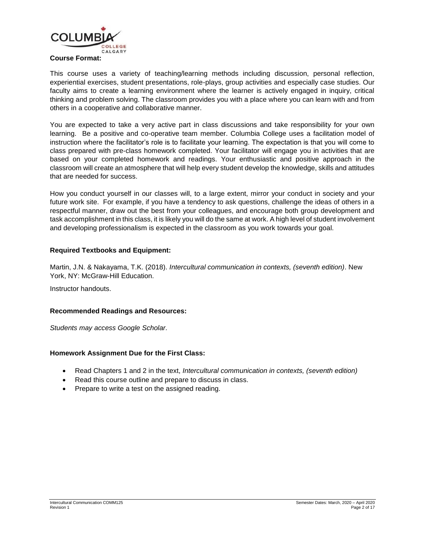

### **Course Format:**

This course uses a variety of teaching/learning methods including discussion, personal reflection, experiential exercises, student presentations, role-plays, group activities and especially case studies. Our faculty aims to create a learning environment where the learner is actively engaged in inquiry, critical thinking and problem solving. The classroom provides you with a place where you can learn with and from others in a cooperative and collaborative manner.

You are expected to take a very active part in class discussions and take responsibility for your own learning. Be a positive and co-operative team member. Columbia College uses a facilitation model of instruction where the facilitator's role is to facilitate your learning. The expectation is that you will come to class prepared with pre-class homework completed. Your facilitator will engage you in activities that are based on your completed homework and readings. Your enthusiastic and positive approach in the classroom will create an atmosphere that will help every student develop the knowledge, skills and attitudes that are needed for success.

How you conduct yourself in our classes will, to a large extent, mirror your conduct in society and your future work site. For example, if you have a tendency to ask questions, challenge the ideas of others in a respectful manner, draw out the best from your colleagues, and encourage both group development and task accomplishment in this class, it is likely you will do the same at work. A high level of student involvement and developing professionalism is expected in the classroom as you work towards your goal.

#### **Required Textbooks and Equipment:**

Martin, J.N. & Nakayama, T.K. (2018). *Intercultural communication in contexts, (seventh edition)*. New York, NY: McGraw-Hill Education.

Instructor handouts.

#### **Recommended Readings and Resources:**

*Students may access Google Scholar.*

#### **Homework Assignment Due for the First Class:**

- Read Chapters 1 and 2 in the text, *Intercultural communication in contexts, (seventh edition)*
- Read this course outline and prepare to discuss in class.
- Prepare to write a test on the assigned reading.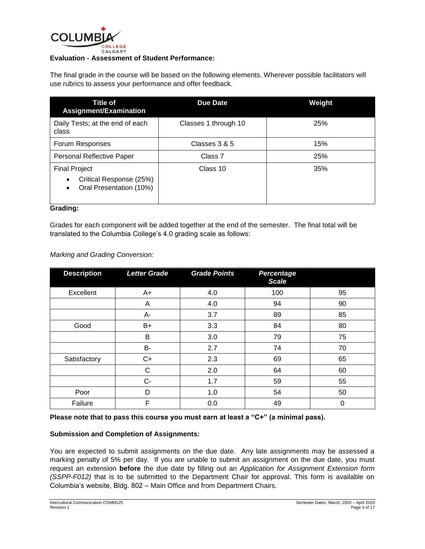

#### **Evaluation - Assessment of Student Performance:**

The final grade in the course will be based on the following elements. Wherever possible facilitators will use rubrics to assess your performance and offer feedback.

| Title of<br>Assignment/Examination                                                   | <b>Due Date</b>      | Weight |
|--------------------------------------------------------------------------------------|----------------------|--------|
| Daily Tests; at the end of each<br>class                                             | Classes 1 through 10 | 25%    |
| Forum Responses                                                                      | Classes 3 & 5        | 15%    |
| Personal Reflective Paper                                                            | Class 7              | 25%    |
| <b>Final Project</b><br>Critical Response (25%)<br>٠<br>Oral Presentation (10%)<br>٠ | Class 10             | 35%    |

## **Grading:**

Grades for each component will be added together at the end of the semester. The final total will be translated to the Columbia College's 4.0 grading scale as follows:

| <b>Marking and Grading Conversion:</b> |  |  |
|----------------------------------------|--|--|
|----------------------------------------|--|--|

| <b>Description</b> | <b>Letter Grade</b> | <b>Grade Points</b> | <b>Percentage</b><br><b>Scale</b> |    |
|--------------------|---------------------|---------------------|-----------------------------------|----|
| Excellent          | $A+$                | 4.0                 | 100                               | 95 |
|                    | A                   | 4.0                 | 94                                | 90 |
|                    | A-                  | 3.7                 | 89                                | 85 |
| Good               | B+                  | 3.3                 | 84                                | 80 |
|                    | B                   | 3.0                 | 79                                | 75 |
|                    | B-                  | 2.7                 | 74                                | 70 |
| Satisfactory       | $C+$                | 2.3                 | 69                                | 65 |
|                    | C                   | 2.0                 | 64                                | 60 |
|                    | $C -$               | 1.7                 | 59                                | 55 |
| Poor               | D                   | 1.0                 | 54                                | 50 |
| Failure            | F                   | 0.0                 | 49                                | 0  |

**Please note that to pass this course you must earn at least a "C+" (a minimal pass).**

# **Submission and Completion of Assignments:**

You are expected to submit assignments on the due date. Any late assignments may be assessed a marking penalty of 5% per day. If you are unable to submit an assignment on the due date, you must request an extension **before** the due date by filling out an *Application for Assignment Extension form (SSPP-F012)* that is to be submitted to the Department Chair for approval. This form is available on Columbia's website, Bldg. 802 – Main Office and from Department Chairs.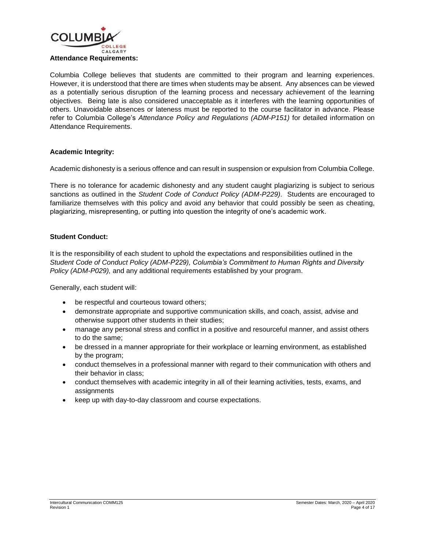

Columbia College believes that students are committed to their program and learning experiences. However, it is understood that there are times when students may be absent. Any absences can be viewed as a potentially serious disruption of the learning process and necessary achievement of the learning objectives. Being late is also considered unacceptable as it interferes with the learning opportunities of others. Unavoidable absences or lateness must be reported to the course facilitator in advance. Please refer to Columbia College's *Attendance Policy and Regulations (ADM-P151)* for detailed information on Attendance Requirements.

# **Academic Integrity:**

Academic dishonesty is a serious offence and can result in suspension or expulsion from Columbia College.

There is no tolerance for academic dishonesty and any student caught plagiarizing is subject to serious sanctions as outlined in the *Student Code of Conduct Policy (ADM-P229)*. Students are encouraged to familiarize themselves with this policy and avoid any behavior that could possibly be seen as cheating, plagiarizing, misrepresenting, or putting into question the integrity of one's academic work.

# **Student Conduct:**

It is the responsibility of each student to uphold the expectations and responsibilities outlined in the *Student Code of Conduct Policy (ADM-P229), Columbia's Commitment to Human Rights and Diversity Policy (ADM-P029),* and any additional requirements established by your program.

Generally, each student will:

- be respectful and courteous toward others;
- demonstrate appropriate and supportive communication skills, and coach, assist, advise and otherwise support other students in their studies;
- manage any personal stress and conflict in a positive and resourceful manner, and assist others to do the same;
- be dressed in a manner appropriate for their workplace or learning environment, as established by the program;
- conduct themselves in a professional manner with regard to their communication with others and their behavior in class;
- conduct themselves with academic integrity in all of their learning activities, tests, exams, and assignments
- keep up with day-to-day classroom and course expectations.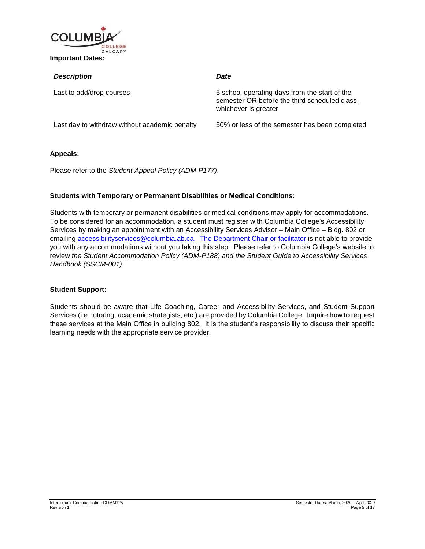

| <b>Description</b>                            | Date                                                                                                                   |
|-----------------------------------------------|------------------------------------------------------------------------------------------------------------------------|
| Last to add/drop courses                      | 5 school operating days from the start of the<br>semester OR before the third scheduled class,<br>whichever is greater |
| Last day to withdraw without academic penalty | 50% or less of the semester has been completed                                                                         |

# **Appeals:**

Please refer to the *Student Appeal Policy (ADM-P177)*.

# **Students with Temporary or Permanent Disabilities or Medical Conditions:**

Students with temporary or permanent disabilities or medical conditions may apply for accommodations. To be considered for an accommodation, a student must register with Columbia College's Accessibility Services by making an appointment with an Accessibility Services Advisor – Main Office – Bldg. 802 or emailing [accessibilityservices@columbia.ab.ca.](mailto:accessibilityservices@columbia.ab.ca) The Department Chair or facilitator is not able to provide you with any accommodations without you taking this step. Please refer to Columbia College's website to review *the Student Accommodation Policy (ADM-P188) and the Student Guide to Accessibility Services Handbook (SSCM-001)*.

#### **Student Support:**

Students should be aware that Life Coaching, Career and Accessibility Services, and Student Support Services (i.e. tutoring, academic strategists, etc.) are provided by Columbia College. Inquire how to request these services at the Main Office in building 802. It is the student's responsibility to discuss their specific learning needs with the appropriate service provider.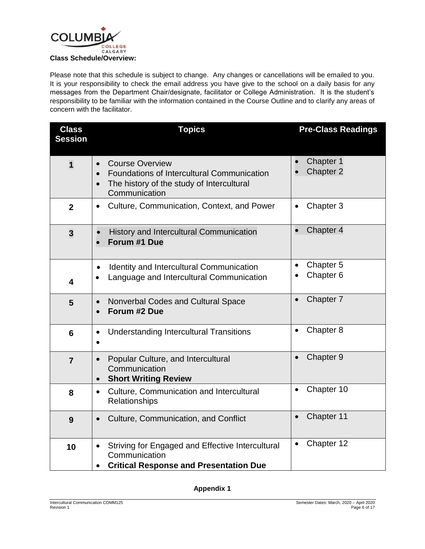

Please note that this schedule is subject to change. Any changes or cancellations will be emailed to you. It is your responsibility to check the email address you have give to the school on a daily basis for any messages from the Department Chair/designate, facilitator or College Administration. It is the student's responsibility to be familiar with the information contained in the Course Outline and to clarify any areas of concern with the facilitator.

| <b>Class</b><br><b>Session</b> | <b>Topics</b>                                                                                                                      | <b>Pre-Class Readings</b>                      |
|--------------------------------|------------------------------------------------------------------------------------------------------------------------------------|------------------------------------------------|
| $\overline{1}$                 | <b>Course Overview</b><br>Foundations of Intercultural Communication<br>The history of the study of Intercultural<br>Communication | Chapter 1<br>Chapter 2                         |
| $\overline{2}$                 | Culture, Communication, Context, and Power<br>$\bullet$                                                                            | Chapter 3<br>$\bullet$                         |
| $\overline{\mathbf{3}}$        | History and Intercultural Communication<br>$\bullet$<br>Forum #1 Due                                                               | Chapter 4                                      |
| 4                              | <b>Identity and Intercultural Communication</b><br>$\bullet$<br>Language and Intercultural Communication<br>$\bullet$              | Chapter 5<br>$\bullet$<br>Chapter <sub>6</sub> |
| 5                              | Nonverbal Codes and Cultural Space<br>$\bullet$<br>Forum #2 Due                                                                    | Chapter 7<br>$\bullet$                         |
| $6\phantom{1}6$                | <b>Understanding Intercultural Transitions</b><br>$\bullet$                                                                        | Chapter 8<br>$\bullet$                         |
| $\overline{7}$                 | Popular Culture, and Intercultural<br>Communication<br><b>Short Writing Review</b>                                                 | Chapter 9<br>$\bullet$                         |
| 8                              | Culture, Communication and Intercultural<br>$\bullet$<br>Relationships                                                             | Chapter 10<br>$\bullet$                        |
| 9                              | Culture, Communication, and Conflict<br>$\bullet$                                                                                  | Chapter 11<br>$\bullet$                        |
| 10                             | Striving for Engaged and Effective Intercultural<br>$\bullet$<br>Communication<br><b>Critical Response and Presentation Due</b>    | Chapter 12                                     |

**Appendix 1**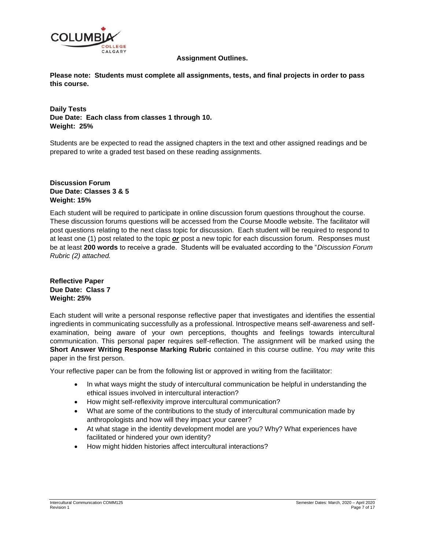

#### **Assignment Outlines.**

**Please note: Students must complete all assignments, tests, and final projects in order to pass this course.**

**Daily Tests Due Date: Each class from classes 1 through 10. Weight: 25%**

Students are be expected to read the assigned chapters in the text and other assigned readings and be prepared to write a graded test based on these reading assignments.

# **Discussion Forum Due Date: Classes 3 & 5 Weight: 15%**

Each student will be required to participate in online discussion forum questions throughout the course. These discussion forums questions will be accessed from the Course Moodle website. The facilitator will post questions relating to the next class topic for discussion. Each student will be required to respond to at least one (1) post related to the topic *or* post a new topic for each discussion forum. Responses must be at least **200 words** to receive a grade. Students will be evaluated according to the "*Discussion Forum Rubric (2) attached.*

**Reflective Paper Due Date: Class 7 Weight: 25%**

Each student will write a personal response reflective paper that investigates and identifies the essential ingredients in communicating successfully as a professional. Introspective means self-awareness and selfexamination, being aware of your own perceptions, thoughts and feelings towards intercultural communication. This personal paper requires self-reflection. The assignment will be marked using the **Short Answer Writing Response Marking Rubric** contained in this course outline. You *may* write this paper in the first person.

Your reflective paper can be from the following list or approved in writing from the faciilitator:

- In what ways might the study of intercultural communication be helpful in understanding the ethical issues involved in intercultural interaction?
- How might self-reflexivity improve intercultural communication?
- What are some of the contributions to the study of intercultural communication made by anthropologists and how will they impact your career?
- At what stage in the identity development model are you? Why? What experiences have facilitated or hindered your own identity?
- How might hidden histories affect intercultural interactions?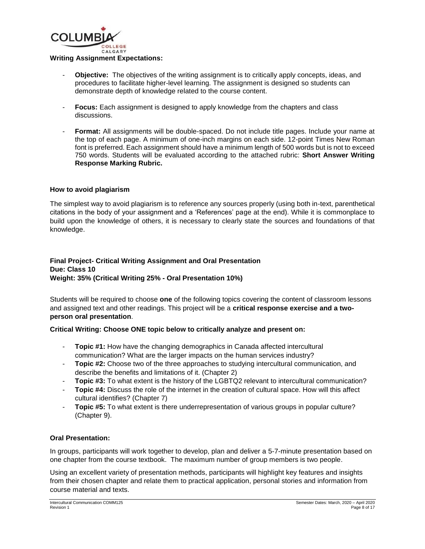

#### **Writing Assignment Expectations:**

- **Objective:** The objectives of the writing assignment is to critically apply concepts, ideas, and procedures to facilitate higher-level learning. The assignment is designed so students can demonstrate depth of knowledge related to the course content.
- **Focus:** Each assignment is designed to apply knowledge from the chapters and class discussions.
- **Format:** All assignments will be double-spaced. Do not include title pages. Include your name at the top of each page. A minimum of one-inch margins on each side. 12-point Times New Roman font is preferred. Each assignment should have a minimum length of 500 words but is not to exceed 750 words. Students will be evaluated according to the attached rubric: **Short Answer Writing Response Marking Rubric.**

#### **How to avoid plagiarism**

The simplest way to avoid plagiarism is to reference any sources properly (using both in-text, parenthetical citations in the body of your assignment and a 'References' page at the end). While it is commonplace to build upon the knowledge of others, it is necessary to clearly state the sources and foundations of that knowledge.

**Final Project- Critical Writing Assignment and Oral Presentation Due: Class 10 Weight: 35% (Critical Writing 25% - Oral Presentation 10%)**

Students will be required to choose **one** of the following topics covering the content of classroom lessons and assigned text and other readings. This project will be a **critical response exercise and a twoperson oral presentation**.

# **Critical Writing: Choose ONE topic below to critically analyze and present on:**

- **Topic #1:** How have the changing demographics in Canada affected intercultural communication? What are the larger impacts on the human services industry?
- **Topic #2:** Choose two of the three approaches to studying intercultural communication, and describe the benefits and limitations of it. (Chapter 2)
- Topic #3: To what extent is the history of the LGBTQ2 relevant to intercultural communication?
- **Topic #4:** Discuss the role of the internet in the creation of cultural space. How will this affect cultural identifies? (Chapter 7)
- **Topic #5:** To what extent is there underrepresentation of various groups in popular culture? (Chapter 9).

#### **Oral Presentation:**

In groups, participants will work together to develop, plan and deliver a 5-7-minute presentation based on one chapter from the course textbook. The maximum number of group members is two people.

Using an excellent variety of presentation methods, participants will highlight key features and insights from their chosen chapter and relate them to practical application, personal stories and information from course material and texts.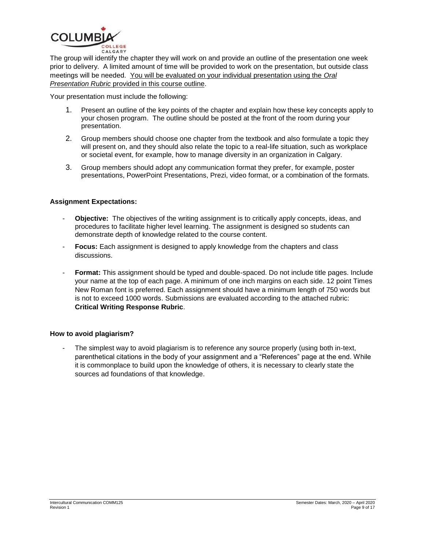

The group will identify the chapter they will work on and provide an outline of the presentation one week prior to delivery. A limited amount of time will be provided to work on the presentation, but outside class meetings will be needed. You will be evaluated on your individual presentation using the *Oral Presentation Rubric* provided in this course outline.

Your presentation must include the following:

- 1. Present an outline of the key points of the chapter and explain how these key concepts apply to your chosen program. The outline should be posted at the front of the room during your presentation.
- 2. Group members should choose one chapter from the textbook and also formulate a topic they will present on, and they should also relate the topic to a real-life situation, such as workplace or societal event, for example, how to manage diversity in an organization in Calgary.
- 3. Group members should adopt any communication format they prefer, for example, poster presentations, PowerPoint Presentations, Prezi, video format, or a combination of the formats.

# **Assignment Expectations:**

- **Objective:** The objectives of the writing assignment is to critically apply concepts, ideas, and procedures to facilitate higher level learning. The assignment is designed so students can demonstrate depth of knowledge related to the course content.
- **Focus:** Each assignment is designed to apply knowledge from the chapters and class discussions.
- **Format:** This assignment should be typed and double-spaced. Do not include title pages. Include your name at the top of each page. A minimum of one inch margins on each side. 12 point Times New Roman font is preferred. Each assignment should have a minimum length of 750 words but is not to exceed 1000 words. Submissions are evaluated according to the attached rubric: **Critical Writing Response Rubric**.

#### **How to avoid plagiarism?**

The simplest way to avoid plagiarism is to reference any source properly (using both in-text, parenthetical citations in the body of your assignment and a "References" page at the end. While it is commonplace to build upon the knowledge of others, it is necessary to clearly state the sources ad foundations of that knowledge.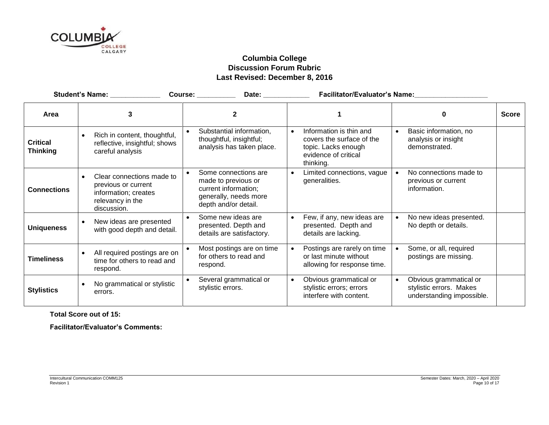

# **Columbia College Discussion Forum Rubric Last Revised: December 8, 2016**

|                                    | Student's Name: _____________                                                                               | Course: _________<br>Date: ____________                                                                              |                                                                                                                               | Facilitator/Evaluator's Name:                                                               |              |
|------------------------------------|-------------------------------------------------------------------------------------------------------------|----------------------------------------------------------------------------------------------------------------------|-------------------------------------------------------------------------------------------------------------------------------|---------------------------------------------------------------------------------------------|--------------|
| Area                               | 3                                                                                                           | $\mathbf{2}$                                                                                                         |                                                                                                                               | 0                                                                                           | <b>Score</b> |
| <b>Critical</b><br><b>Thinking</b> | Rich in content, thoughtful,<br>reflective, insightful; shows<br>careful analysis                           | Substantial information,<br>$\bullet$<br>thoughtful, insightful;<br>analysis has taken place.                        | Information is thin and<br>$\bullet$<br>covers the surface of the<br>topic. Lacks enough<br>evidence of critical<br>thinking. | Basic information, no<br>analysis or insight<br>demonstrated.                               |              |
| <b>Connections</b>                 | Clear connections made to<br>previous or current<br>information; creates<br>relevancy in the<br>discussion. | Some connections are<br>made to previous or<br>current information;<br>generally, needs more<br>depth and/or detail. | Limited connections, vague<br>$\bullet$<br>generalities.                                                                      | No connections made to<br>previous or current<br>information.                               |              |
| <b>Uniqueness</b>                  | New ideas are presented<br>with good depth and detail.                                                      | Some new ideas are<br>$\bullet$<br>presented. Depth and<br>details are satisfactory.                                 | Few, if any, new ideas are<br>presented. Depth and<br>details are lacking.                                                    | No new ideas presented.<br>No depth or details.                                             |              |
| <b>Timeliness</b>                  | All required postings are on<br>time for others to read and<br>respond.                                     | Most postings are on time<br>for others to read and<br>respond.                                                      | Postings are rarely on time<br>or last minute without<br>allowing for response time.                                          | Some, or all, required<br>postings are missing.                                             |              |
| <b>Stylistics</b>                  | No grammatical or stylistic<br>errors.                                                                      | Several grammatical or<br>stylistic errors.                                                                          | Obvious grammatical or<br>$\bullet$<br>stylistic errors; errors<br>interfere with content.                                    | Obvious grammatical or<br>$\bullet$<br>stylistic errors. Makes<br>understanding impossible. |              |

**Total Score out of 15:**

**Facilitator/Evaluator's Comments:**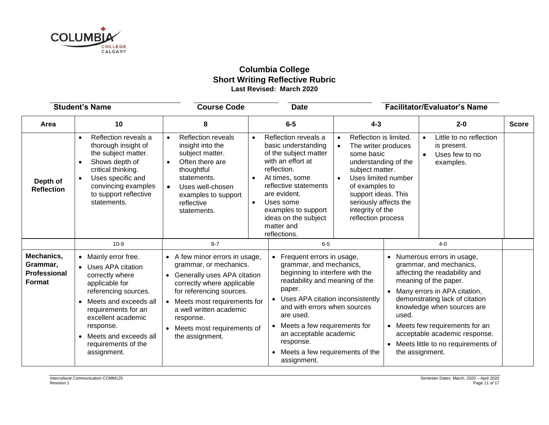

# **Columbia College Short Writing Reflective Rubric Last Revised: March 2020**

|                                                                | <b>Student's Name</b>                                                                                                                                                                                                                                                   | <b>Course Code</b>                                                                                                                                                                                                                                                                                                                                                                                                                                                                                                                                                                                                                                                                                                                                                                                             | <b>Date</b>                                                                                                                                                                                                                                                                                                                                   |         |                                                                       | <b>Facilitator/Evaluator's Name</b>                                                                                                                                                                                                                                                                                                       |              |
|----------------------------------------------------------------|-------------------------------------------------------------------------------------------------------------------------------------------------------------------------------------------------------------------------------------------------------------------------|----------------------------------------------------------------------------------------------------------------------------------------------------------------------------------------------------------------------------------------------------------------------------------------------------------------------------------------------------------------------------------------------------------------------------------------------------------------------------------------------------------------------------------------------------------------------------------------------------------------------------------------------------------------------------------------------------------------------------------------------------------------------------------------------------------------|-----------------------------------------------------------------------------------------------------------------------------------------------------------------------------------------------------------------------------------------------------------------------------------------------------------------------------------------------|---------|-----------------------------------------------------------------------|-------------------------------------------------------------------------------------------------------------------------------------------------------------------------------------------------------------------------------------------------------------------------------------------------------------------------------------------|--------------|
| Area                                                           | 10                                                                                                                                                                                                                                                                      | 8                                                                                                                                                                                                                                                                                                                                                                                                                                                                                                                                                                                                                                                                                                                                                                                                              | $6-5$                                                                                                                                                                                                                                                                                                                                         | $4 - 3$ |                                                                       | $2 - 0$                                                                                                                                                                                                                                                                                                                                   | <b>Score</b> |
| Depth of<br><b>Reflection</b>                                  | Reflection reveals a<br>$\bullet$<br>thorough insight of<br>the subject matter.<br>Shows depth of<br>critical thinking.<br>Uses specific and<br>$\bullet$<br>convincing examples<br>to support reflective<br>statements.                                                | <b>Reflection reveals</b><br>Reflection reveals a<br>Reflection is limited.<br>$\bullet$<br>$\bullet$<br>$\bullet$<br>insight into the<br>basic understanding<br>The writer produces<br>$\bullet$<br>of the subject matter<br>subject matter.<br>some basic<br>with an effort at<br>Often there are<br>understanding of the<br>reflection.<br>thoughtful<br>subject matter.<br>At times, some<br>Uses limited number<br>statements.<br>$\bullet$<br>$\bullet$<br>reflective statements<br>of examples to<br>Uses well-chosen<br>$\bullet$<br>are evident.<br>support ideas. This<br>examples to support<br>seriously affects the<br>Uses some<br>reflective<br>$\bullet$<br>examples to support<br>integrity of the<br>statements.<br>ideas on the subject<br>reflection process<br>matter and<br>reflections. |                                                                                                                                                                                                                                                                                                                                               |         | Little to no reflection<br>is present.<br>Uses few to no<br>examples. |                                                                                                                                                                                                                                                                                                                                           |              |
|                                                                | $10-9$                                                                                                                                                                                                                                                                  | $8 - 7$                                                                                                                                                                                                                                                                                                                                                                                                                                                                                                                                                                                                                                                                                                                                                                                                        | $6-5$                                                                                                                                                                                                                                                                                                                                         |         |                                                                       | $4 - 0$                                                                                                                                                                                                                                                                                                                                   |              |
| Mechanics,<br>Grammar,<br><b>Professional</b><br><b>Format</b> | • Mainly error free.<br>• Uses APA citation<br>correctly where<br>applicable for<br>referencing sources.<br>Meets and exceeds all<br>$\bullet$<br>requirements for an<br>excellent academic<br>response.<br>Meets and exceeds all<br>requirements of the<br>assignment. | • A few minor errors in usage,<br>grammar, or mechanics.<br>Generally uses APA citation<br>correctly where applicable<br>for referencing sources.<br>Meets most requirements for<br>a well written academic<br>response.<br>Meets most requirements of<br>the assignment.                                                                                                                                                                                                                                                                                                                                                                                                                                                                                                                                      | Frequent errors in usage,<br>grammar, and mechanics,<br>beginning to interfere with the<br>readability and meaning of the<br>paper.<br>Uses APA citation inconsistently<br>and with errors when sources<br>are used.<br>Meets a few requirements for<br>an acceptable academic<br>response.<br>Meets a few requirements of the<br>assignment. |         | used.                                                                 | Numerous errors in usage,<br>grammar, and mechanics,<br>affecting the readability and<br>meaning of the paper.<br>Many errors in APA citation,<br>demonstrating lack of citation<br>knowledge when sources are<br>Meets few requirements for an<br>acceptable academic response.<br>Meets little to no requirements of<br>the assignment. |              |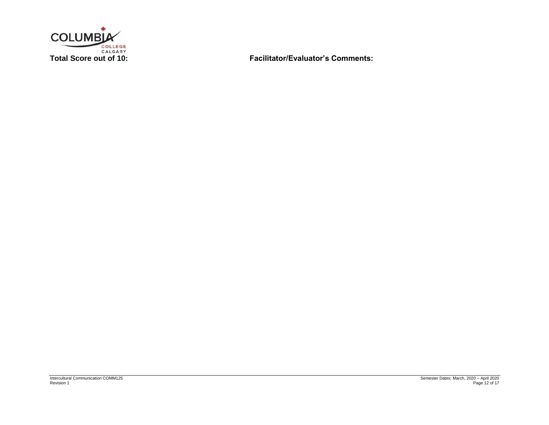

**Total Score out of 10: Facilitator/Evaluator's Comments:**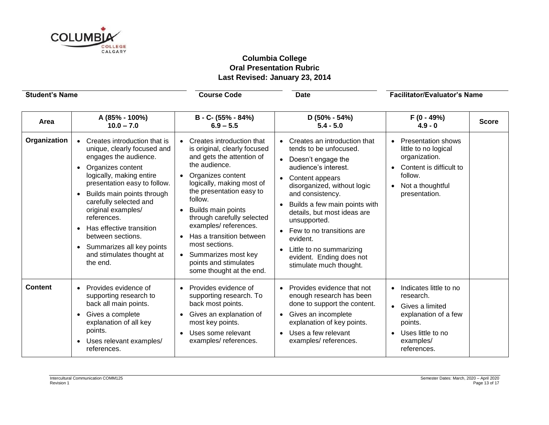

# **Columbia College Oral Presentation Rubric Last Revised: January 23, 2014**

| <b>Student's Name</b> |                                                                                                                                                                                                                                                                                                                                                                                               | <b>Course Code</b>                                                                                                                                                                                                                                                                                                                                                                                     | <b>Date</b>                                                                                                                                                                                                                                                                                                                                                                                             | <b>Facilitator/Evaluator's Name</b>                                                                                                           |              |
|-----------------------|-----------------------------------------------------------------------------------------------------------------------------------------------------------------------------------------------------------------------------------------------------------------------------------------------------------------------------------------------------------------------------------------------|--------------------------------------------------------------------------------------------------------------------------------------------------------------------------------------------------------------------------------------------------------------------------------------------------------------------------------------------------------------------------------------------------------|---------------------------------------------------------------------------------------------------------------------------------------------------------------------------------------------------------------------------------------------------------------------------------------------------------------------------------------------------------------------------------------------------------|-----------------------------------------------------------------------------------------------------------------------------------------------|--------------|
| Area                  | A (85% - 100%)<br>$10.0 - 7.0$                                                                                                                                                                                                                                                                                                                                                                | B - C- (55% - 84%)<br>$6.9 - 5.5$                                                                                                                                                                                                                                                                                                                                                                      | $D(50\% - 54\%)$<br>$5.4 - 5.0$                                                                                                                                                                                                                                                                                                                                                                         | $F(0 - 49%)$<br>$4.9 - 0$                                                                                                                     | <b>Score</b> |
| Organization          | • Creates introduction that is<br>unique, clearly focused and<br>engages the audience.<br>Organizes content<br>logically, making entire<br>presentation easy to follow.<br>Builds main points through<br>carefully selected and<br>original examples/<br>references.<br>Has effective transition<br>between sections.<br>• Summarizes all key points<br>and stimulates thought at<br>the end. | Creates introduction that<br>is original, clearly focused<br>and gets the attention of<br>the audience.<br>Organizes content<br>logically, making most of<br>the presentation easy to<br>follow.<br>Builds main points<br>through carefully selected<br>examples/references.<br>Has a transition between<br>most sections.<br>Summarizes most key<br>points and stimulates<br>some thought at the end. | Creates an introduction that<br>tends to be unfocused.<br>• Doesn't engage the<br>audience's interest.<br>Content appears<br>disorganized, without logic<br>and consistency.<br>Builds a few main points with<br>$\bullet$<br>details, but most ideas are<br>unsupported.<br>• Few to no transitions are<br>evident.<br>Little to no summarizing<br>evident. Ending does not<br>stimulate much thought. | <b>Presentation shows</b><br>little to no logical<br>organization.<br>Content is difficult to<br>follow.<br>Not a thoughtful<br>presentation. |              |
| <b>Content</b>        | Provides evidence of<br>supporting research to<br>back all main points.<br>Gives a complete<br>explanation of all key<br>points.<br>Uses relevant examples/<br>references.                                                                                                                                                                                                                    | Provides evidence of<br>supporting research. To<br>back most points.<br>Gives an explanation of<br>most key points.<br>Uses some relevant<br>$\bullet$<br>examples/references.                                                                                                                                                                                                                         | • Provides evidence that not<br>enough research has been<br>done to support the content.<br>Gives an incomplete<br>$\bullet$<br>explanation of key points.<br>• Uses a few relevant<br>examples/references.                                                                                                                                                                                             | Indicates little to no<br>research.<br>Gives a limited<br>explanation of a few<br>points.<br>Uses little to no<br>examples/<br>references.    |              |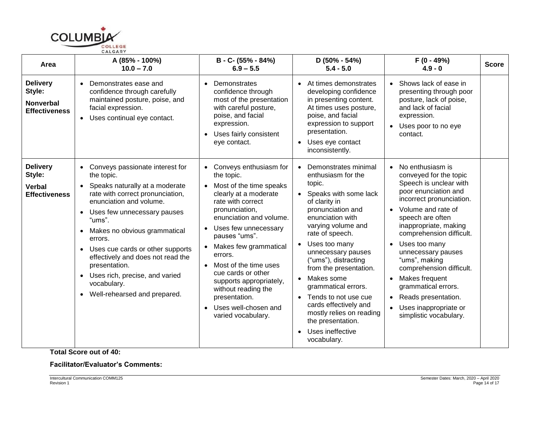

| Area                                                                  | A (85% - 100%)<br>$10.0 - 7.0$                                                                                                                                                                                                                                                                                                                                                                                                                                    | B - C- (55% - 84%)<br>$6.9 - 5.5$                                                                                                                                                                                                                                                                                                                                                                                                                | D (50% - 54%)<br>$5.4 - 5.0$                                                                                                                                                                                                                                                                                                                                                                                                                                                    | F (0 - 49%)<br>$4.9 - 0$                                                                                                                                                                                                                                                                                                                                                                                                                            | <b>Score</b> |
|-----------------------------------------------------------------------|-------------------------------------------------------------------------------------------------------------------------------------------------------------------------------------------------------------------------------------------------------------------------------------------------------------------------------------------------------------------------------------------------------------------------------------------------------------------|--------------------------------------------------------------------------------------------------------------------------------------------------------------------------------------------------------------------------------------------------------------------------------------------------------------------------------------------------------------------------------------------------------------------------------------------------|---------------------------------------------------------------------------------------------------------------------------------------------------------------------------------------------------------------------------------------------------------------------------------------------------------------------------------------------------------------------------------------------------------------------------------------------------------------------------------|-----------------------------------------------------------------------------------------------------------------------------------------------------------------------------------------------------------------------------------------------------------------------------------------------------------------------------------------------------------------------------------------------------------------------------------------------------|--------------|
| <b>Delivery</b><br>Style:<br><b>Nonverbal</b><br><b>Effectiveness</b> | Demonstrates ease and<br>confidence through carefully<br>maintained posture, poise, and<br>facial expression.<br>Uses continual eye contact.<br>$\bullet$                                                                                                                                                                                                                                                                                                         | Demonstrates<br>confidence through<br>most of the presentation<br>with careful posture,<br>poise, and facial<br>expression.<br>Uses fairly consistent<br>eye contact.                                                                                                                                                                                                                                                                            | At times demonstrates<br>developing confidence<br>in presenting content.<br>At times uses posture,<br>poise, and facial<br>expression to support<br>presentation.<br>Uses eye contact<br>$\bullet$<br>inconsistently.                                                                                                                                                                                                                                                           | • Shows lack of ease in<br>presenting through poor<br>posture, lack of poise,<br>and lack of facial<br>expression.<br>• Uses poor to no eye<br>contact.                                                                                                                                                                                                                                                                                             |              |
| <b>Delivery</b><br>Style:<br><b>Verbal</b><br><b>Effectiveness</b>    | Conveys passionate interest for<br>the topic.<br>Speaks naturally at a moderate<br>rate with correct pronunciation,<br>enunciation and volume.<br>Uses few unnecessary pauses<br>$\bullet$<br>"ums".<br>Makes no obvious grammatical<br>$\bullet$<br>errors.<br>Uses cue cards or other supports<br>$\bullet$<br>effectively and does not read the<br>presentation.<br>Uses rich, precise, and varied<br>$\bullet$<br>vocabulary.<br>Well-rehearsed and prepared. | • Conveys enthusiasm for<br>the topic.<br>Most of the time speaks<br>clearly at a moderate<br>rate with correct<br>pronunciation,<br>enunciation and volume.<br>Uses few unnecessary<br>$\bullet$<br>pauses "ums".<br>Makes few grammatical<br>errors.<br>Most of the time uses<br>$\bullet$<br>cue cards or other<br>supports appropriately,<br>without reading the<br>presentation.<br>Uses well-chosen and<br>$\bullet$<br>varied vocabulary. | Demonstrates minimal<br>enthusiasm for the<br>topic.<br>• Speaks with some lack<br>of clarity in<br>pronunciation and<br>enunciation with<br>varying volume and<br>rate of speech.<br>Uses too many<br>unnecessary pauses<br>("ums"), distracting<br>from the presentation.<br>Makes some<br>grammatical errors.<br>Tends to not use cue<br>$\bullet$<br>cards effectively and<br>mostly relies on reading<br>the presentation.<br>Uses ineffective<br>$\bullet$<br>vocabulary. | • No enthusiasm is<br>conveyed for the topic<br>Speech is unclear with<br>poor enunciation and<br>incorrect pronunciation.<br>• Volume and rate of<br>speech are often<br>inappropriate, making<br>comprehension difficult.<br>• Uses too many<br>unnecessary pauses<br>"ums", making<br>comprehension difficult.<br>Makes frequent<br>grammatical errors.<br>Reads presentation.<br>$\bullet$<br>• Uses inappropriate or<br>simplistic vocabulary. |              |

**Total Score out of 40:**

# **Facilitator/Evaluator's Comments:**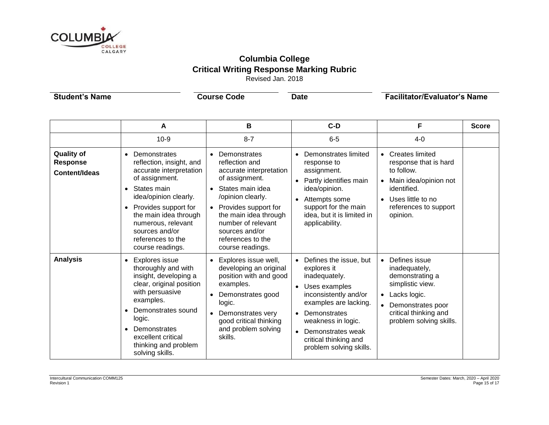

# **Columbia College Critical Writing Response Marking Rubric** Revised Jan. 2018

**Student's Name Course Code Date Course Code Date Facilitator/Evaluator's Name** 

|                                                       | Α                                                                                                                                                                                                                                                                                         | в                                                                                                                                                                                                                                                                       | $C-D$                                                                                                                                                                                                                                    | F                                                                                                                                                                                                      | <b>Score</b> |
|-------------------------------------------------------|-------------------------------------------------------------------------------------------------------------------------------------------------------------------------------------------------------------------------------------------------------------------------------------------|-------------------------------------------------------------------------------------------------------------------------------------------------------------------------------------------------------------------------------------------------------------------------|------------------------------------------------------------------------------------------------------------------------------------------------------------------------------------------------------------------------------------------|--------------------------------------------------------------------------------------------------------------------------------------------------------------------------------------------------------|--------------|
|                                                       | $10-9$                                                                                                                                                                                                                                                                                    | $8 - 7$                                                                                                                                                                                                                                                                 | $6-5$                                                                                                                                                                                                                                    | $4 - 0$                                                                                                                                                                                                |              |
| <b>Quality of</b><br><b>Response</b><br>Content/Ideas | Demonstrates<br>$\bullet$<br>reflection, insight, and<br>accurate interpretation<br>of assignment.<br>States main<br>idea/opinion clearly.<br>Provides support for<br>$\bullet$<br>the main idea through<br>numerous, relevant<br>sources and/or<br>references to the<br>course readings. | Demonstrates<br>$\bullet$<br>reflection and<br>accurate interpretation<br>of assignment.<br>• States main idea<br>/opinion clearly.<br>• Provides support for<br>the main idea through<br>number of relevant<br>sources and/or<br>references to the<br>course readings. | Demonstrates limited<br>response to<br>assignment.<br>Partly identifies main<br>idea/opinion.<br>Attempts some<br>support for the main<br>idea, but it is limited in<br>applicability.                                                   | <b>Creates limited</b><br>$\bullet$<br>response that is hard<br>to follow.<br>Main idea/opinion not<br>$\bullet$<br>identified.<br>Uses little to no<br>$\bullet$<br>references to support<br>opinion. |              |
| <b>Analysis</b>                                       | Explores issue<br>$\bullet$<br>thoroughly and with<br>insight, developing a<br>clear, original position<br>with persuasive<br>examples.<br>Demonstrates sound<br>logic.<br>Demonstrates<br>excellent critical<br>thinking and problem<br>solving skills.                                  | • Explores issue well,<br>developing an original<br>position with and good<br>examples.<br>Demonstrates good<br>logic.<br>• Demonstrates very<br>good critical thinking<br>and problem solving<br>skills.                                                               | Defines the issue, but<br>explores it<br>inadequately.<br>Uses examples<br>inconsistently and/or<br>examples are lacking.<br>Demonstrates<br>weakness in logic.<br>Demonstrates weak<br>critical thinking and<br>problem solving skills. | Defines issue<br>$\bullet$<br>inadequately,<br>demonstrating a<br>simplistic view.<br>Lacks logic.<br>$\bullet$<br>Demonstrates poor<br>$\bullet$<br>critical thinking and<br>problem solving skills.  |              |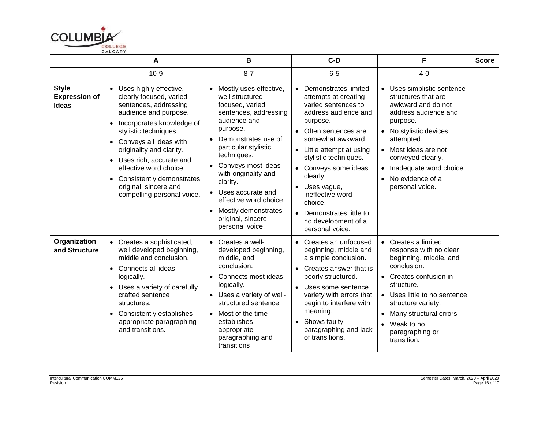

|                                                      | А                                                                                                                                                                                                                                                                                                                                                                                        | В                                                                                                                                                                                                                                                                                                                                                            | $C-D$                                                                                                                                                                                                                                                                                                                                                                      | F                                                                                                                                                                                                                                                                                                                | <b>Score</b> |
|------------------------------------------------------|------------------------------------------------------------------------------------------------------------------------------------------------------------------------------------------------------------------------------------------------------------------------------------------------------------------------------------------------------------------------------------------|--------------------------------------------------------------------------------------------------------------------------------------------------------------------------------------------------------------------------------------------------------------------------------------------------------------------------------------------------------------|----------------------------------------------------------------------------------------------------------------------------------------------------------------------------------------------------------------------------------------------------------------------------------------------------------------------------------------------------------------------------|------------------------------------------------------------------------------------------------------------------------------------------------------------------------------------------------------------------------------------------------------------------------------------------------------------------|--------------|
|                                                      | $10-9$                                                                                                                                                                                                                                                                                                                                                                                   | $8 - 7$                                                                                                                                                                                                                                                                                                                                                      | $6-5$                                                                                                                                                                                                                                                                                                                                                                      | $4-0$                                                                                                                                                                                                                                                                                                            |              |
| <b>Style</b><br><b>Expression of</b><br><b>Ideas</b> | • Uses highly effective,<br>clearly focused, varied<br>sentences, addressing<br>audience and purpose.<br>Incorporates knowledge of<br>$\bullet$<br>stylistic techniques.<br>• Conveys all ideas with<br>originality and clarity.<br>• Uses rich, accurate and<br>effective word choice.<br>Consistently demonstrates<br>$\bullet$<br>original, sincere and<br>compelling personal voice. | • Mostly uses effective,<br>well structured,<br>focused, varied<br>sentences, addressing<br>audience and<br>purpose.<br>Demonstrates use of<br>particular stylistic<br>techniques.<br>Conveys most ideas<br>with originality and<br>clarity.<br>• Uses accurate and<br>effective word choice.<br>Mostly demonstrates<br>original, sincere<br>personal voice. | Demonstrates limited<br>attempts at creating<br>varied sentences to<br>address audience and<br>purpose.<br>Often sentences are<br>$\bullet$<br>somewhat awkward.<br>Little attempt at using<br>stylistic techniques.<br>• Conveys some ideas<br>clearly.<br>Uses vague,<br>ineffective word<br>choice.<br>Demonstrates little to<br>no development of a<br>personal voice. | Uses simplistic sentence<br>$\bullet$<br>structures that are<br>awkward and do not<br>address audience and<br>purpose.<br>No stylistic devices<br>$\bullet$<br>attempted.<br>Most ideas are not<br>$\bullet$<br>conveyed clearly.<br>Inadequate word choice.<br>$\bullet$<br>No evidence of a<br>personal voice. |              |
| Organization<br>and Structure                        | • Creates a sophisticated,<br>well developed beginning,<br>middle and conclusion.<br>Connects all ideas<br>$\bullet$<br>logically.<br>• Uses a variety of carefully<br>crafted sentence<br>structures.<br>• Consistently establishes<br>appropriate paragraphing<br>and transitions.                                                                                                     | $\bullet$ Creates a well-<br>developed beginning,<br>middle, and<br>conclusion.<br>Connects most ideas<br>logically.<br>• Uses a variety of well-<br>structured sentence<br>• Most of the time<br>establishes<br>appropriate<br>paragraphing and<br>transitions                                                                                              | Creates an unfocused<br>beginning, middle and<br>a simple conclusion.<br>Creates answer that is<br>poorly structured.<br>• Uses some sentence<br>variety with errors that<br>begin to interfere with<br>meaning.<br>Shows faulty<br>paragraphing and lack<br>of transitions.                                                                                               | Creates a limited<br>$\bullet$<br>response with no clear<br>beginning, middle, and<br>conclusion.<br>Creates confusion in<br>structure.<br>• Uses little to no sentence<br>structure variety.<br>Many structural errors<br>Weak to no<br>$\bullet$<br>paragraphing or<br>transition.                             |              |